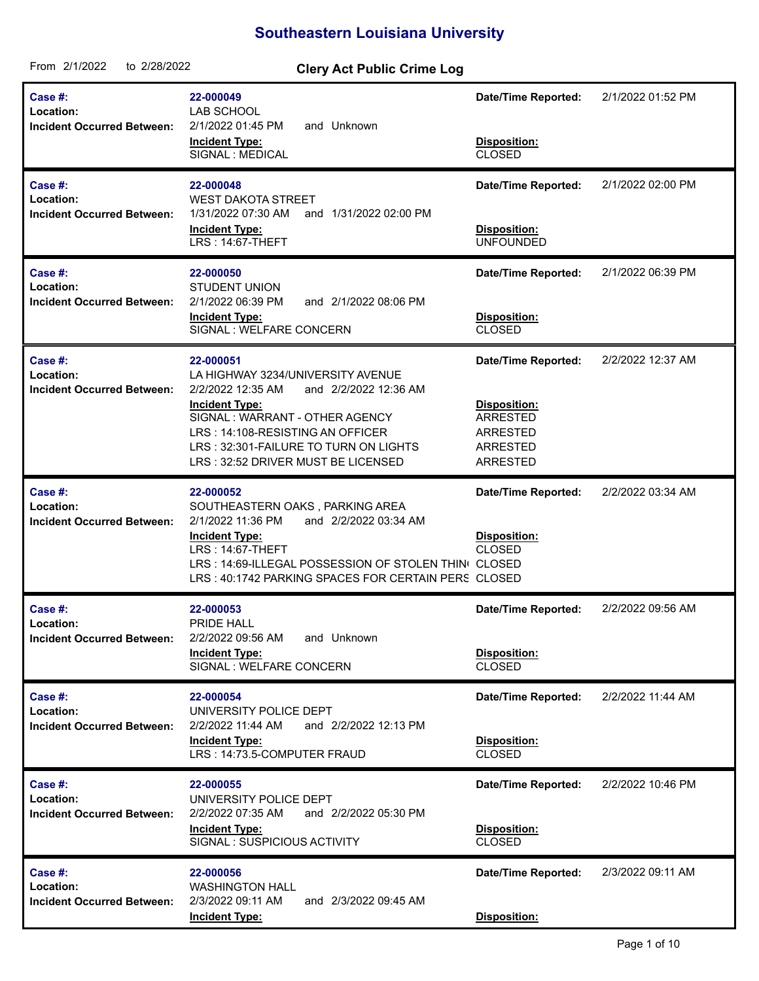## **Southeastern Louisiana University**

| From 2/1/2022<br>to 2/28/2022                             | <b>Clery Act Public Crime Log</b>                                                                                                                                                                                                                                          |                                                                                                                 |                   |
|-----------------------------------------------------------|----------------------------------------------------------------------------------------------------------------------------------------------------------------------------------------------------------------------------------------------------------------------------|-----------------------------------------------------------------------------------------------------------------|-------------------|
| Case #:<br>Location:<br><b>Incident Occurred Between:</b> | 22-000049<br>LAB SCHOOL<br>2/1/2022 01:45 PM<br>and Unknown<br><b>Incident Type:</b><br>SIGNAL : MEDICAL                                                                                                                                                                   | <b>Date/Time Reported:</b><br>Disposition:<br><b>CLOSED</b>                                                     | 2/1/2022 01:52 PM |
| Case #:<br>Location:<br><b>Incident Occurred Between:</b> | 22-000048<br><b>WEST DAKOTA STREET</b><br>1/31/2022 07:30 AM<br>and 1/31/2022 02:00 PM<br><b>Incident Type:</b><br>LRS: 14:67-THEFT                                                                                                                                        | <b>Date/Time Reported:</b><br>Disposition:<br><b>UNFOUNDED</b>                                                  | 2/1/2022 02:00 PM |
| Case #:<br>Location:<br><b>Incident Occurred Between:</b> | 22-000050<br><b>STUDENT UNION</b><br>2/1/2022 06:39 PM<br>and 2/1/2022 08:06 PM<br><b>Incident Type:</b><br>SIGNAL : WELFARE CONCERN                                                                                                                                       | Date/Time Reported:<br>Disposition:<br><b>CLOSED</b>                                                            | 2/1/2022 06:39 PM |
| Case #:<br>Location:<br><b>Incident Occurred Between:</b> | 22-000051<br>LA HIGHWAY 3234/UNIVERSITY AVENUE<br>2/2/2022 12:35 AM<br>and 2/2/2022 12:36 AM<br><b>Incident Type:</b><br>SIGNAL: WARRANT - OTHER AGENCY<br>LRS: 14:108-RESISTING AN OFFICER<br>LRS: 32:301-FAILURE TO TURN ON LIGHTS<br>LRS: 32:52 DRIVER MUST BE LICENSED | <b>Date/Time Reported:</b><br>Disposition:<br><b>ARRESTED</b><br>ARRESTED<br><b>ARRESTED</b><br><b>ARRESTED</b> | 2/2/2022 12:37 AM |
| Case #:<br>Location:<br><b>Incident Occurred Between:</b> | 22-000052<br>SOUTHEASTERN OAKS, PARKING AREA<br>2/1/2022 11:36 PM<br>and 2/2/2022 03:34 AM<br><b>Incident Type:</b><br>LRS: 14:67-THEFT<br>LRS: 14:69-ILLEGAL POSSESSION OF STOLEN THINI CLOSED<br>LRS: 40:1742 PARKING SPACES FOR CERTAIN PERS CLOSED                     | <b>Date/Time Reported:</b><br>Disposition:<br><b>CLOSED</b>                                                     | 2/2/2022 03:34 AM |
| Case #:<br>Location:<br><b>Incident Occurred Between:</b> | 22-000053<br>PRIDE HALL<br>2/2/2022 09:56 AM<br>and Unknown<br><b>Incident Type:</b><br>SIGNAL : WELFARE CONCERN                                                                                                                                                           | <b>Date/Time Reported:</b><br>Disposition:<br><b>CLOSED</b>                                                     | 2/2/2022 09:56 AM |
| Case #:<br>Location:<br><b>Incident Occurred Between:</b> | 22-000054<br>UNIVERSITY POLICE DEPT<br>2/2/2022 11:44 AM<br>and 2/2/2022 12:13 PM<br><b>Incident Type:</b><br>LRS: 14:73.5-COMPUTER FRAUD                                                                                                                                  | <b>Date/Time Reported:</b><br>Disposition:<br><b>CLOSED</b>                                                     | 2/2/2022 11:44 AM |
| Case #:<br>Location:<br><b>Incident Occurred Between:</b> | 22-000055<br>UNIVERSITY POLICE DEPT<br>2/2/2022 07:35 AM<br>and 2/2/2022 05:30 PM<br><b>Incident Type:</b><br>SIGNAL: SUSPICIOUS ACTIVITY                                                                                                                                  | <b>Date/Time Reported:</b><br>Disposition:<br><b>CLOSED</b>                                                     | 2/2/2022 10:46 PM |
| Case #:<br>Location:<br><b>Incident Occurred Between:</b> | 22-000056<br><b>WASHINGTON HALL</b><br>2/3/2022 09:11 AM<br>and 2/3/2022 09:45 AM<br><b>Incident Type:</b>                                                                                                                                                                 | <b>Date/Time Reported:</b><br>Disposition:                                                                      | 2/3/2022 09:11 AM |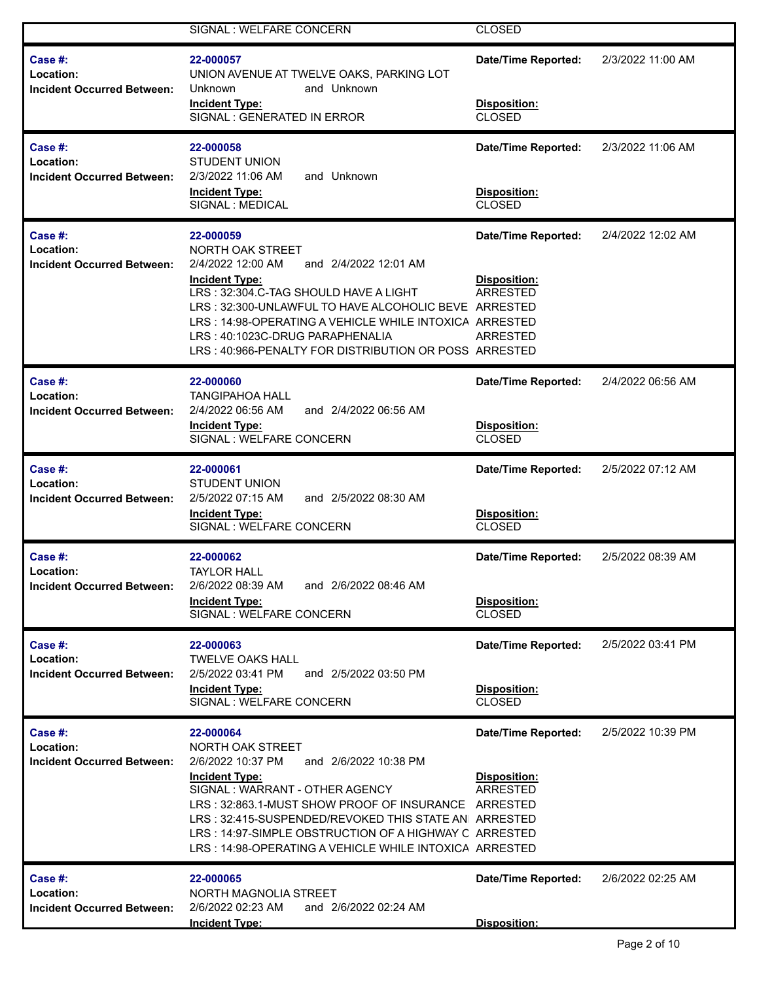|                                                           | SIGNAL : WELFARE CONCERN                                                                                                                                                                                                                                                                                                                                                 | <b>CLOSED</b>                                                      |                   |
|-----------------------------------------------------------|--------------------------------------------------------------------------------------------------------------------------------------------------------------------------------------------------------------------------------------------------------------------------------------------------------------------------------------------------------------------------|--------------------------------------------------------------------|-------------------|
| Case #:<br>Location:<br><b>Incident Occurred Between:</b> | 22-000057<br>UNION AVENUE AT TWELVE OAKS, PARKING LOT<br>and Unknown<br>Unknown<br><b>Incident Type:</b><br>SIGNAL : GENERATED IN ERROR                                                                                                                                                                                                                                  | <b>Date/Time Reported:</b><br>Disposition:<br>CLOSED               | 2/3/2022 11:00 AM |
| Case #:<br>Location:<br><b>Incident Occurred Between:</b> | 22-000058<br><b>STUDENT UNION</b><br>2/3/2022 11:06 AM<br>and Unknown<br><b>Incident Type:</b><br>SIGNAL : MEDICAL                                                                                                                                                                                                                                                       | <b>Date/Time Reported:</b><br>Disposition:<br>CLOSED               | 2/3/2022 11:06 AM |
| Case #:<br>Location:<br><b>Incident Occurred Between:</b> | 22-000059<br>NORTH OAK STREET<br>2/4/2022 12:00 AM<br>and 2/4/2022 12:01 AM<br><b>Incident Type:</b><br>LRS: 32:304.C-TAG SHOULD HAVE A LIGHT<br>LRS: 32:300-UNLAWFUL TO HAVE ALCOHOLIC BEVE ARRESTED<br>LRS: 14:98-OPERATING A VEHICLE WHILE INTOXICA ARRESTED<br>LRS: 40:1023C-DRUG PARAPHENALIA<br>LRS: 40:966-PENALTY FOR DISTRIBUTION OR POSS ARRESTED              | <b>Date/Time Reported:</b><br>Disposition:<br>ARRESTED<br>ARRESTED | 2/4/2022 12:02 AM |
| Case #:<br>Location:<br><b>Incident Occurred Between:</b> | 22-000060<br><b>TANGIPAHOA HALL</b><br>and 2/4/2022 06:56 AM<br>2/4/2022 06:56 AM<br><b>Incident Type:</b><br>SIGNAL : WELFARE CONCERN                                                                                                                                                                                                                                   | <b>Date/Time Reported:</b><br>Disposition:<br><b>CLOSED</b>        | 2/4/2022 06:56 AM |
| Case #:<br>Location:<br><b>Incident Occurred Between:</b> | 22-000061<br><b>STUDENT UNION</b><br>2/5/2022 07:15 AM<br>and 2/5/2022 08:30 AM<br><b>Incident Type:</b><br>SIGNAL : WELFARE CONCERN                                                                                                                                                                                                                                     | <b>Date/Time Reported:</b><br>Disposition:<br><b>CLOSED</b>        | 2/5/2022 07:12 AM |
| Case #:<br>Location:<br><b>Incident Occurred Between:</b> | 22-000062<br><b>TAYLOR HALL</b><br>2/6/2022 08:39 AM<br>and 2/6/2022 08:46 AM<br><b>Incident Type:</b><br>SIGNAL : WELFARE CONCERN                                                                                                                                                                                                                                       | <b>Date/Time Reported:</b><br>Disposition:<br><b>CLOSED</b>        | 2/5/2022 08:39 AM |
| Case #:<br>Location:<br><b>Incident Occurred Between:</b> | 22-000063<br><b>TWELVE OAKS HALL</b><br>2/5/2022 03:41 PM<br>and 2/5/2022 03:50 PM<br><b>Incident Type:</b><br>SIGNAL : WELFARE CONCERN                                                                                                                                                                                                                                  | <b>Date/Time Reported:</b><br>Disposition:<br><b>CLOSED</b>        | 2/5/2022 03:41 PM |
| Case #:<br>Location:<br><b>Incident Occurred Between:</b> | 22-000064<br>NORTH OAK STREET<br>and 2/6/2022 10:38 PM<br>2/6/2022 10:37 PM<br><b>Incident Type:</b><br>SIGNAL: WARRANT - OTHER AGENCY<br>LRS: 32:863.1-MUST SHOW PROOF OF INSURANCE ARRESTED<br>LRS: 32:415-SUSPENDED/REVOKED THIS STATE AN ARRESTED<br>LRS: 14:97-SIMPLE OBSTRUCTION OF A HIGHWAY C ARRESTED<br>LRS: 14:98-OPERATING A VEHICLE WHILE INTOXICA ARRESTED | <b>Date/Time Reported:</b><br>Disposition:<br><b>ARRESTED</b>      | 2/5/2022 10:39 PM |
| Case #:<br>Location:<br><b>Incident Occurred Between:</b> | 22-000065<br>NORTH MAGNOLIA STREET<br>2/6/2022 02:23 AM<br>and 2/6/2022 02:24 AM<br><b>Incident Type:</b>                                                                                                                                                                                                                                                                | <b>Date/Time Reported:</b><br>Disposition:                         | 2/6/2022 02:25 AM |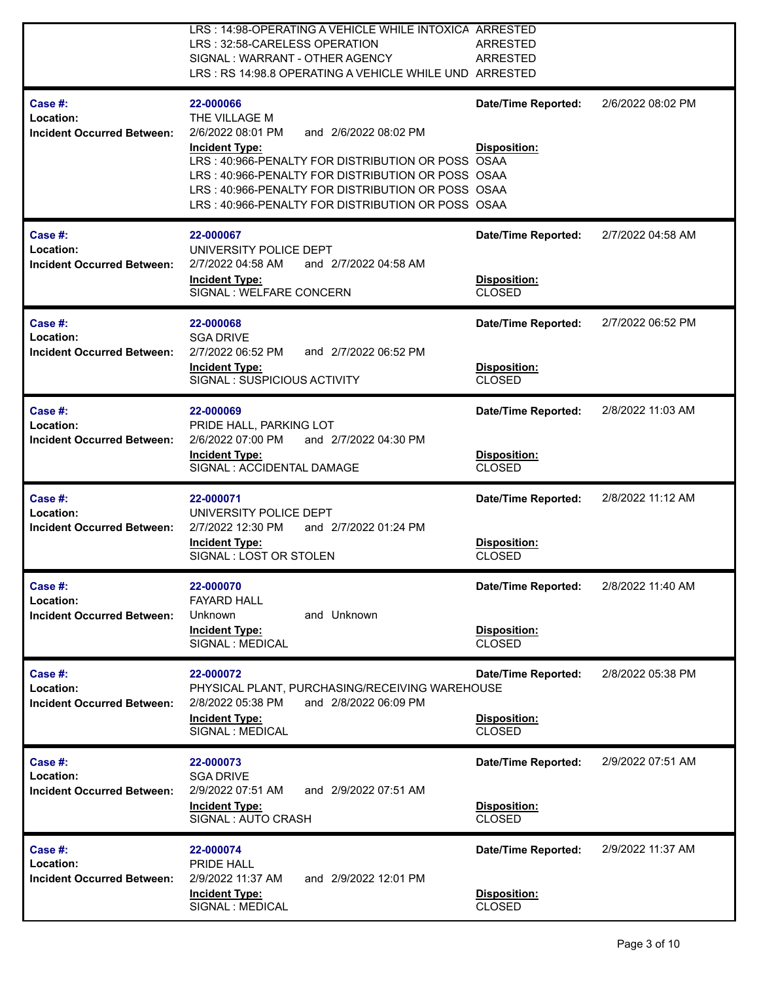|                                                           | LRS: 14:98-OPERATING A VEHICLE WHILE INTOXICA ARRESTED<br>LRS: 32:58-CARELESS OPERATION<br>SIGNAL: WARRANT - OTHER AGENCY<br>LRS : RS 14:98.8 OPERATING A VEHICLE WHILE UND ARRESTED                                                                                                                                  | <b>ARRESTED</b><br><b>ARRESTED</b>                                 |                   |
|-----------------------------------------------------------|-----------------------------------------------------------------------------------------------------------------------------------------------------------------------------------------------------------------------------------------------------------------------------------------------------------------------|--------------------------------------------------------------------|-------------------|
| Case #:<br>Location:<br><b>Incident Occurred Between:</b> | 22-000066<br>THE VILLAGE M<br>2/6/2022 08:01 PM<br>and 2/6/2022 08:02 PM<br><b>Incident Type:</b><br>LRS: 40:966-PENALTY FOR DISTRIBUTION OR POSS OSAA<br>LRS: 40:966-PENALTY FOR DISTRIBUTION OR POSS OSAA<br>LRS: 40:966-PENALTY FOR DISTRIBUTION OR POSS OSAA<br>LRS: 40:966-PENALTY FOR DISTRIBUTION OR POSS OSAA | <b>Date/Time Reported:</b><br>Disposition:                         | 2/6/2022 08:02 PM |
| Case #:<br>Location:<br><b>Incident Occurred Between:</b> | 22-000067<br>UNIVERSITY POLICE DEPT<br>2/7/2022 04:58 AM<br>and 2/7/2022 04:58 AM<br><b>Incident Type:</b><br>SIGNAL : WELFARE CONCERN                                                                                                                                                                                | <b>Date/Time Reported:</b><br>Disposition:<br>CLOSED               | 2/7/2022 04:58 AM |
| Case #:<br>Location:<br><b>Incident Occurred Between:</b> | 22-000068<br><b>SGA DRIVE</b><br>2/7/2022 06:52 PM<br>and 2/7/2022 06:52 PM<br><b>Incident Type:</b><br>SIGNAL: SUSPICIOUS ACTIVITY                                                                                                                                                                                   | <b>Date/Time Reported:</b><br>Disposition:<br><b>CLOSED</b>        | 2/7/2022 06:52 PM |
| Case #:<br>Location:<br><b>Incident Occurred Between:</b> | 22-000069<br>PRIDE HALL, PARKING LOT<br>and 2/7/2022 04:30 PM<br>2/6/2022 07:00 PM<br><b>Incident Type:</b><br>SIGNAL : ACCIDENTAL DAMAGE                                                                                                                                                                             | <b>Date/Time Reported:</b><br>Disposition:<br><b>CLOSED</b>        | 2/8/2022 11:03 AM |
| Case #:<br>Location:<br><b>Incident Occurred Between:</b> | 22-000071<br>UNIVERSITY POLICE DEPT<br>2/7/2022 12:30 PM<br>and 2/7/2022 01:24 PM<br><b>Incident Type:</b><br>SIGNAL: LOST OR STOLEN                                                                                                                                                                                  | <b>Date/Time Reported:</b><br>Disposition:<br><b>CLOSED</b>        | 2/8/2022 11:12 AM |
| Case #:<br>Location:<br><b>Incident Occurred Between:</b> | 22-000070<br><b>FAYARD HALL</b><br>and Unknown<br>Unknown<br><b>Incident Type:</b><br>SIGNAL : MEDICAL                                                                                                                                                                                                                | Date/Time Reported:<br>Disposition:<br>CLOSED                      | 2/8/2022 11:40 AM |
| Case #:<br>Location:<br><b>Incident Occurred Between:</b> | 22-000072<br>PHYSICAL PLANT, PURCHASING/RECEIVING WAREHOUSE<br>2/8/2022 05:38 PM<br>and 2/8/2022 06:09 PM<br><b>Incident Type:</b><br>SIGNAL : MEDICAL                                                                                                                                                                | <b>Date/Time Reported:</b><br><b>Disposition:</b><br><b>CLOSED</b> | 2/8/2022 05:38 PM |
| Case #:<br>Location:<br><b>Incident Occurred Between:</b> | 22-000073<br><b>SGA DRIVE</b><br>and 2/9/2022 07:51 AM<br>2/9/2022 07:51 AM<br><b>Incident Type:</b><br>SIGNAL : AUTO CRASH                                                                                                                                                                                           | <b>Date/Time Reported:</b><br>Disposition:<br>CLOSED               | 2/9/2022 07:51 AM |
| Case #:<br>Location:<br><b>Incident Occurred Between:</b> | 22-000074<br>PRIDE HALL<br>2/9/2022 11:37 AM<br>and 2/9/2022 12:01 PM<br><b>Incident Type:</b><br>SIGNAL : MEDICAL                                                                                                                                                                                                    | <b>Date/Time Reported:</b><br>Disposition:<br><b>CLOSED</b>        | 2/9/2022 11:37 AM |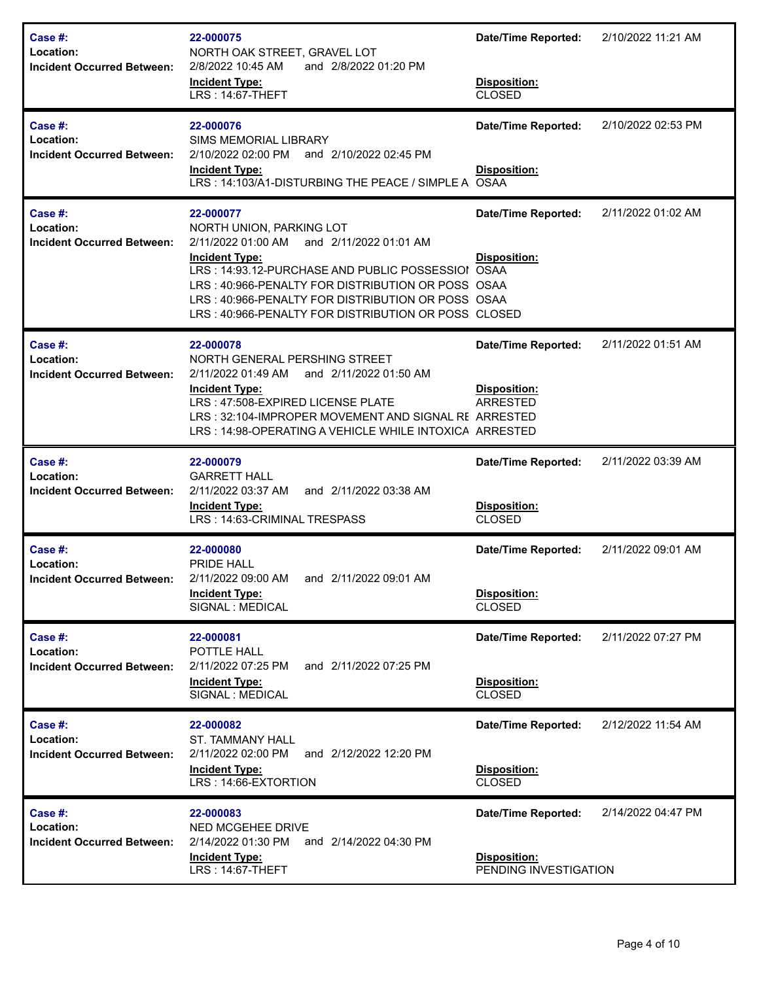| Case #:<br>Location:<br><b>Incident Occurred Between:</b> | 22-000075<br>NORTH OAK STREET, GRAVEL LOT<br>2/8/2022 10:45 AM<br>and 2/8/2022 01:20 PM<br><b>Incident Type:</b><br>LRS: 14:67-THEFT                                                                                                                                                                                                 | <b>Date/Time Reported:</b><br>Disposition:<br><b>CLOSED</b>         | 2/10/2022 11:21 AM |
|-----------------------------------------------------------|--------------------------------------------------------------------------------------------------------------------------------------------------------------------------------------------------------------------------------------------------------------------------------------------------------------------------------------|---------------------------------------------------------------------|--------------------|
| Case #:<br>Location:<br><b>Incident Occurred Between:</b> | 22-000076<br><b>SIMS MEMORIAL LIBRARY</b><br>2/10/2022 02:00 PM<br>and 2/10/2022 02:45 PM<br><b>Incident Type:</b><br>LRS: 14:103/A1-DISTURBING THE PEACE / SIMPLE A OSAA                                                                                                                                                            | <b>Date/Time Reported:</b><br>Disposition:                          | 2/10/2022 02:53 PM |
| Case #:<br>Location:<br><b>Incident Occurred Between:</b> | 22-000077<br>NORTH UNION, PARKING LOT<br>2/11/2022 01:00 AM<br>and 2/11/2022 01:01 AM<br><b>Incident Type:</b><br>LRS: 14:93.12-PURCHASE AND PUBLIC POSSESSIOI OSAA<br>LRS: 40:966-PENALTY FOR DISTRIBUTION OR POSS OSAA<br>LRS: 40:966-PENALTY FOR DISTRIBUTION OR POSS OSAA<br>LRS: 40:966-PENALTY FOR DISTRIBUTION OR POSS CLOSED | <b>Date/Time Reported:</b><br><b>Disposition:</b>                   | 2/11/2022 01:02 AM |
| Case #:<br>Location:<br><b>Incident Occurred Between:</b> | 22-000078<br>NORTH GENERAL PERSHING STREET<br>2/11/2022 01:49 AM<br>and 2/11/2022 01:50 AM<br><b>Incident Type:</b><br>LRS: 47:508-EXPIRED LICENSE PLATE<br>LRS: 32:104-IMPROPER MOVEMENT AND SIGNAL RE ARRESTED<br>LRS: 14:98-OPERATING A VEHICLE WHILE INTOXICA ARRESTED                                                           | <b>Date/Time Reported:</b><br>Disposition:<br><b>ARRESTED</b>       | 2/11/2022 01:51 AM |
| Case #:<br>Location:<br><b>Incident Occurred Between:</b> | 22-000079<br><b>GARRETT HALL</b><br>2/11/2022 03:37 AM<br>and 2/11/2022 03:38 AM<br><b>Incident Type:</b><br>LRS: 14:63-CRIMINAL TRESPASS                                                                                                                                                                                            | <b>Date/Time Reported:</b><br>Disposition:<br><b>CLOSED</b>         | 2/11/2022 03:39 AM |
| Case #:<br>Location:<br><b>Incident Occurred Between:</b> | 22-000080<br>PRIDE HALL<br>2/11/2022 09:00 AM<br>and 2/11/2022 09:01 AM<br><b>Incident Type:</b><br>SIGNAL : MEDICAL                                                                                                                                                                                                                 | <b>Date/Time Reported:</b><br>Disposition:<br><b>CLOSED</b>         | 2/11/2022 09:01 AM |
| Case #:<br>Location:<br><b>Incident Occurred Between:</b> | 22-000081<br>POTTLE HALL<br>2/11/2022 07:25 PM<br>and 2/11/2022 07:25 PM<br><b>Incident Type:</b><br>SIGNAL : MEDICAL                                                                                                                                                                                                                | <b>Date/Time Reported:</b><br>Disposition:<br>CLOSED                | 2/11/2022 07:27 PM |
| Case #:<br>Location:<br><b>Incident Occurred Between:</b> | 22-000082<br>ST. TAMMANY HALL<br>2/11/2022 02:00 PM<br>and 2/12/2022 12:20 PM<br><b>Incident Type:</b><br>LRS: 14:66-EXTORTION                                                                                                                                                                                                       | <b>Date/Time Reported:</b><br>Disposition:<br>CLOSED                | 2/12/2022 11:54 AM |
| Case #:<br>Location:<br><b>Incident Occurred Between:</b> | 22-000083<br>NED MCGEHEE DRIVE<br>2/14/2022 01:30 PM<br>and 2/14/2022 04:30 PM<br><b>Incident Type:</b><br>LRS: 14:67-THEFT                                                                                                                                                                                                          | <b>Date/Time Reported:</b><br>Disposition:<br>PENDING INVESTIGATION | 2/14/2022 04:47 PM |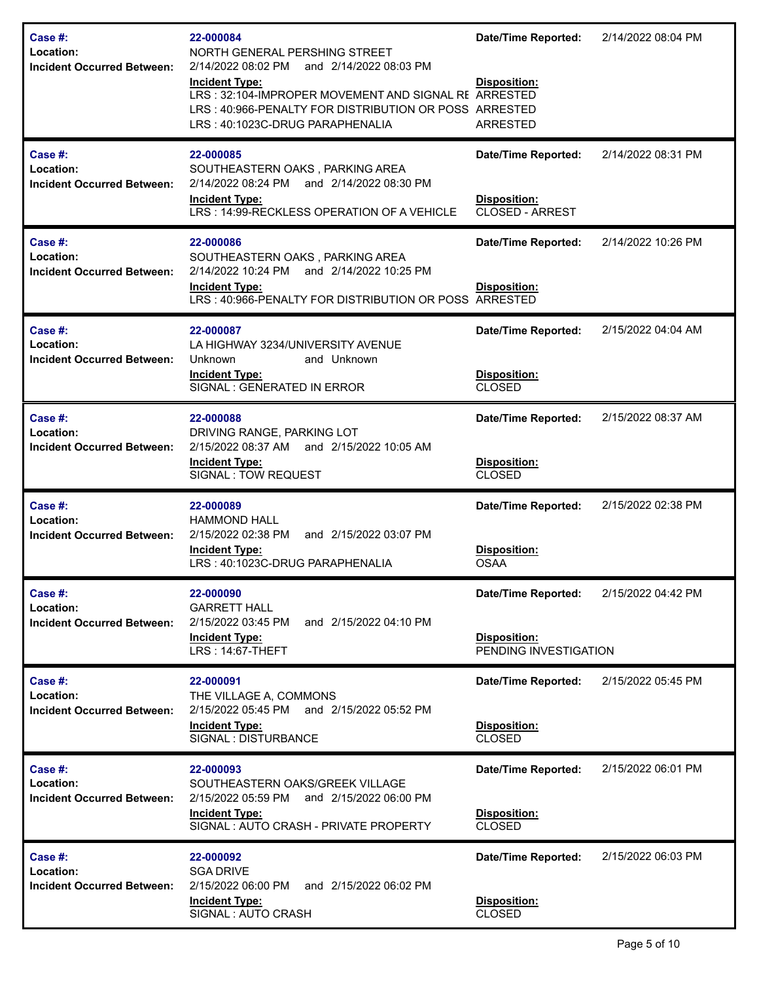| <b>Case #:</b><br>Location:<br><b>Incident Occurred Between:</b> | 22-000084<br>NORTH GENERAL PERSHING STREET<br>2/14/2022 08:02 PM and 2/14/2022 08:03 PM<br><b>Incident Type:</b><br>LRS: 32:104-IMPROPER MOVEMENT AND SIGNAL RE ARRESTED<br>LRS: 40:966-PENALTY FOR DISTRIBUTION OR POSS ARRESTED<br>LRS: 40:1023C-DRUG PARAPHENALIA | <b>Date/Time Reported:</b><br>Disposition:<br><b>ARRESTED</b>        | 2/14/2022 08:04 PM |
|------------------------------------------------------------------|----------------------------------------------------------------------------------------------------------------------------------------------------------------------------------------------------------------------------------------------------------------------|----------------------------------------------------------------------|--------------------|
| Case #:<br>Location:<br><b>Incident Occurred Between:</b>        | 22-000085<br>SOUTHEASTERN OAKS, PARKING AREA<br>2/14/2022 08:24 PM and 2/14/2022 08:30 PM<br><b>Incident Type:</b><br>LRS: 14:99-RECKLESS OPERATION OF A VEHICLE                                                                                                     | <b>Date/Time Reported:</b><br><b>Disposition:</b><br>CLOSED - ARREST | 2/14/2022 08:31 PM |
| <b>Case #:</b><br>Location:<br><b>Incident Occurred Between:</b> | 22-000086<br>SOUTHEASTERN OAKS, PARKING AREA<br>2/14/2022 10:24 PM<br>and 2/14/2022 10:25 PM<br><b>Incident Type:</b><br>LRS: 40:966-PENALTY FOR DISTRIBUTION OR POSS ARRESTED                                                                                       | <b>Date/Time Reported:</b><br>Disposition:                           | 2/14/2022 10:26 PM |
| Case #:<br>Location:<br><b>Incident Occurred Between:</b>        | 22-000087<br>LA HIGHWAY 3234/UNIVERSITY AVENUE<br>Unknown<br>and Unknown<br>Incident Type:<br>SIGNAL : GENERATED IN ERROR                                                                                                                                            | <b>Date/Time Reported:</b><br>Disposition:<br><b>CLOSED</b>          | 2/15/2022 04:04 AM |
| Case #:<br>Location:<br><b>Incident Occurred Between:</b>        | 22-000088<br>DRIVING RANGE, PARKING LOT<br>2/15/2022 08:37 AM and 2/15/2022 10:05 AM<br><b>Incident Type:</b><br>SIGNAL : TOW REQUEST                                                                                                                                | <b>Date/Time Reported:</b><br>Disposition:<br><b>CLOSED</b>          | 2/15/2022 08:37 AM |
| Case #:<br>Location:<br><b>Incident Occurred Between:</b>        | 22-000089<br><b>HAMMOND HALL</b><br>and 2/15/2022 03:07 PM<br>2/15/2022 02:38 PM<br><b>Incident Type:</b><br>LRS: 40:1023C-DRUG PARAPHENALIA                                                                                                                         | <b>Date/Time Reported:</b><br>Disposition:<br><b>OSAA</b>            | 2/15/2022 02:38 PM |
| Case #:<br>Location:<br><b>Incident Occurred Between:</b>        | 22-000090<br><b>GARRETT HALL</b><br>2/15/2022 03:45 PM<br>and 2/15/2022 04:10 PM<br><b>Incident Type:</b><br>LRS: 14:67-THEFT                                                                                                                                        | <b>Date/Time Reported:</b><br>Disposition:<br>PENDING INVESTIGATION  | 2/15/2022 04:42 PM |
| Case #:<br>Location:<br><b>Incident Occurred Between:</b>        | 22-000091<br>THE VILLAGE A, COMMONS<br>2/15/2022 05:45 PM and 2/15/2022 05:52 PM<br><b>Incident Type:</b><br>SIGNAL : DISTURBANCE                                                                                                                                    | <b>Date/Time Reported:</b><br>Disposition:<br>CLOSED                 | 2/15/2022 05:45 PM |
| Case #:<br>Location:<br><b>Incident Occurred Between:</b>        | 22-000093<br>SOUTHEASTERN OAKS/GREEK VILLAGE<br>2/15/2022 05:59 PM and 2/15/2022 06:00 PM<br>Incident Type:<br>SIGNAL: AUTO CRASH - PRIVATE PROPERTY                                                                                                                 | <b>Date/Time Reported:</b><br>Disposition:<br>CLOSED                 | 2/15/2022 06:01 PM |
| Case #:<br>Location:<br><b>Incident Occurred Between:</b>        | 22-000092<br><b>SGA DRIVE</b><br>2/15/2022 06:00 PM<br>and 2/15/2022 06:02 PM<br><b>Incident Type:</b><br>SIGNAL : AUTO CRASH                                                                                                                                        | <b>Date/Time Reported:</b><br>Disposition:<br><b>CLOSED</b>          | 2/15/2022 06:03 PM |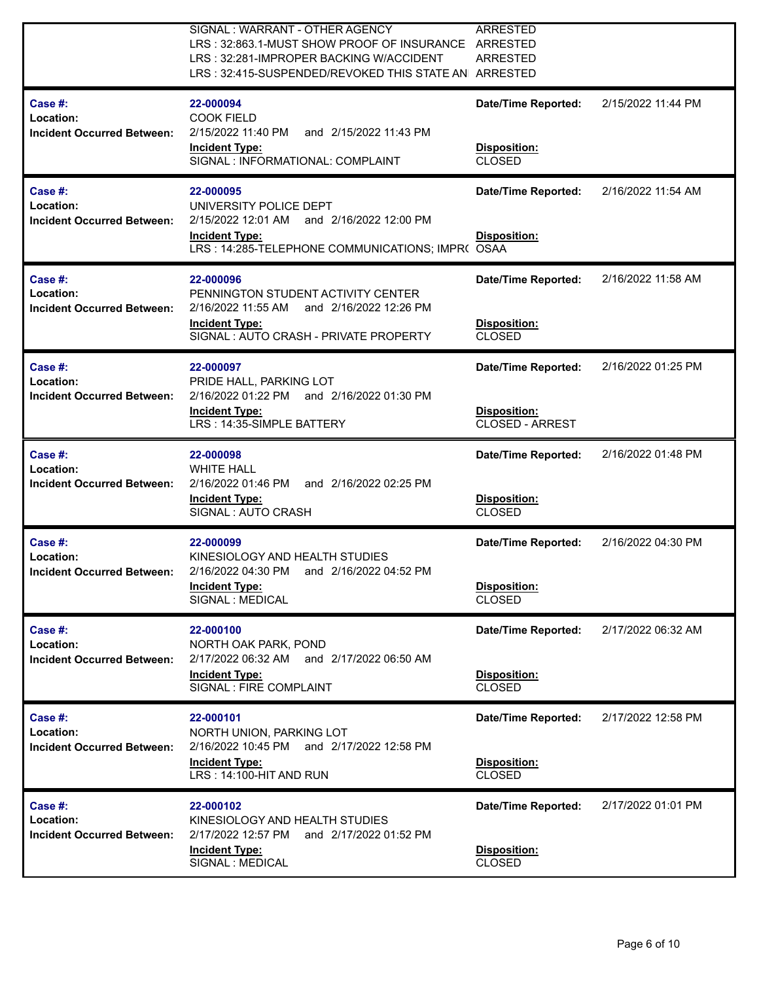|                                                           | SIGNAL: WARRANT - OTHER AGENCY<br>LRS: 32:863.1-MUST SHOW PROOF OF INSURANCE ARRESTED<br>LRS: 32:281-IMPROPER BACKING W/ACCIDENT<br>LRS: 32:415-SUSPENDED/REVOKED THIS STATE AN ARRESTED | <b>ARRESTED</b><br><b>ARRESTED</b>                            |                    |
|-----------------------------------------------------------|------------------------------------------------------------------------------------------------------------------------------------------------------------------------------------------|---------------------------------------------------------------|--------------------|
| Case #:<br>Location:<br><b>Incident Occurred Between:</b> | 22-000094<br><b>COOK FIELD</b><br>2/15/2022 11:40 PM<br>and 2/15/2022 11:43 PM<br><b>Incident Type:</b><br>SIGNAL : INFORMATIONAL: COMPLAINT                                             | <b>Date/Time Reported:</b><br>Disposition:<br><b>CLOSED</b>   | 2/15/2022 11:44 PM |
| Case #:<br>Location:<br><b>Incident Occurred Between:</b> | 22-000095<br>UNIVERSITY POLICE DEPT<br>2/15/2022 12:01 AM<br>and 2/16/2022 12:00 PM<br><b>Incident Type:</b><br>LRS: 14:285-TELEPHONE COMMUNICATIONS; IMPR( OSAA                         | <b>Date/Time Reported:</b><br>Disposition:                    | 2/16/2022 11:54 AM |
| Case #:<br>Location:<br><b>Incident Occurred Between:</b> | 22-000096<br>PENNINGTON STUDENT ACTIVITY CENTER<br>2/16/2022 11:55 AM<br>and 2/16/2022 12:26 PM<br><b>Incident Type:</b><br>SIGNAL: AUTO CRASH - PRIVATE PROPERTY                        | <b>Date/Time Reported:</b><br>Disposition:<br><b>CLOSED</b>   | 2/16/2022 11:58 AM |
| Case #:<br>Location:<br><b>Incident Occurred Between:</b> | 22-000097<br>PRIDE HALL, PARKING LOT<br>2/16/2022 01:22 PM<br>and 2/16/2022 01:30 PM<br><b>Incident Type:</b><br>LRS: 14:35-SIMPLE BATTERY                                               | <b>Date/Time Reported:</b><br>Disposition:<br>CLOSED - ARREST | 2/16/2022 01:25 PM |
| Case #:<br>Location:<br><b>Incident Occurred Between:</b> | 22-000098<br><b>WHITE HALL</b><br>2/16/2022 01:46 PM<br>and 2/16/2022 02:25 PM<br><b>Incident Type:</b><br>SIGNAL: AUTO CRASH                                                            | <b>Date/Time Reported:</b><br>Disposition:<br><b>CLOSED</b>   | 2/16/2022 01:48 PM |
| Case #:<br>Location:<br><b>Incident Occurred Between:</b> | 22-000099<br>KINESIOLOGY AND HEALTH STUDIES<br>2/16/2022 04:30 PM<br>and 2/16/2022 04:52 PM<br><b>Incident Type:</b><br>SIGNAL : MEDICAL                                                 | <b>Date/Time Reported:</b><br>Disposition:<br><b>CLOSED</b>   | 2/16/2022 04:30 PM |
| Case #:<br>Location:<br><b>Incident Occurred Between:</b> | 22-000100<br>NORTH OAK PARK, POND<br>2/17/2022 06:32 AM<br>and 2/17/2022 06:50 AM<br><b>Incident Type:</b><br>SIGNAL : FIRE COMPLAINT                                                    | <b>Date/Time Reported:</b><br>Disposition:<br><b>CLOSED</b>   | 2/17/2022 06:32 AM |
| Case #:<br>Location:<br><b>Incident Occurred Between:</b> | 22-000101<br>NORTH UNION, PARKING LOT<br>2/16/2022 10:45 PM<br>and 2/17/2022 12:58 PM<br><b>Incident Type:</b><br>LRS: 14:100-HIT AND RUN                                                | <b>Date/Time Reported:</b><br>Disposition:<br><b>CLOSED</b>   | 2/17/2022 12:58 PM |
| Case #:<br>Location:<br><b>Incident Occurred Between:</b> | 22-000102<br>KINESIOLOGY AND HEALTH STUDIES<br>2/17/2022 12:57 PM<br>and 2/17/2022 01:52 PM<br><b>Incident Type:</b><br>SIGNAL : MEDICAL                                                 | <b>Date/Time Reported:</b><br>Disposition:<br><b>CLOSED</b>   | 2/17/2022 01:01 PM |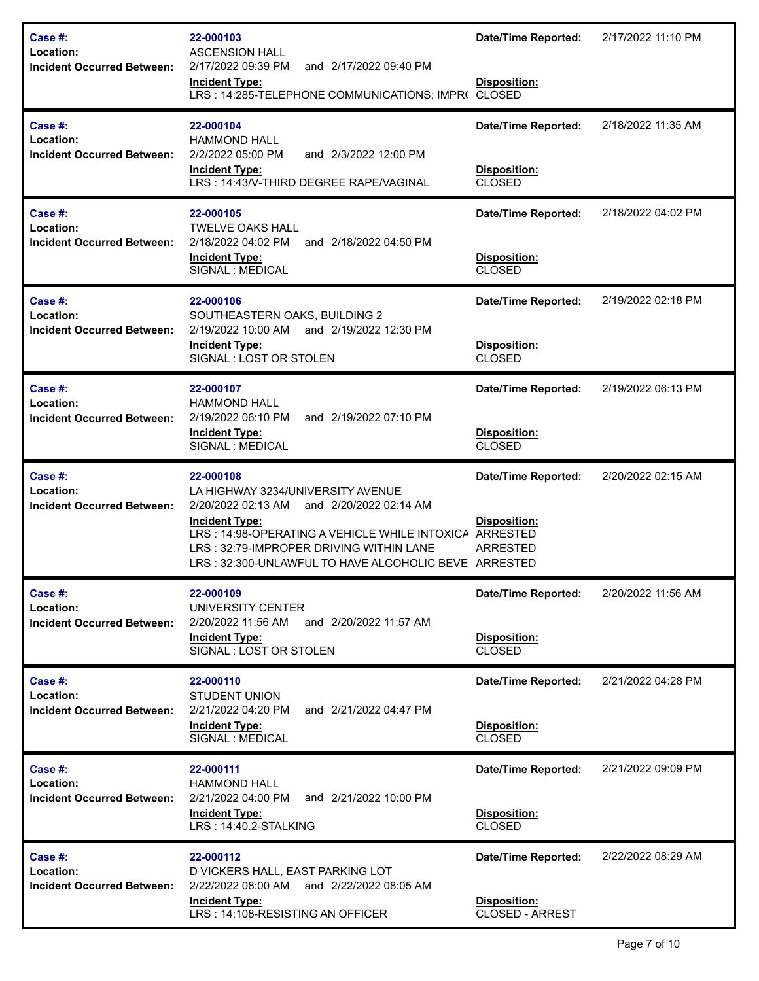| Case  #:<br>Location:<br><b>Incident Occurred Between:</b>   | 22-000103<br><b>ASCENSION HALL</b><br>2/17/2022 09:39 PM<br>and 2/17/2022 09:40 PM<br><b>Incident Type:</b><br>LRS: 14:285-TELEPHONE COMMUNICATIONS; IMPR( CLOSED                                                                                                                    | <b>Date/Time Reported:</b><br>Disposition:                           | 2/17/2022 11:10 PM |
|--------------------------------------------------------------|--------------------------------------------------------------------------------------------------------------------------------------------------------------------------------------------------------------------------------------------------------------------------------------|----------------------------------------------------------------------|--------------------|
| Case $#$ :<br>Location:<br><b>Incident Occurred Between:</b> | 22-000104<br><b>HAMMOND HALL</b><br>2/2/2022 05:00 PM<br>and 2/3/2022 12:00 PM<br><b>Incident Type:</b><br>LRS: 14:43/V-THIRD DEGREE RAPE/VAGINAL                                                                                                                                    | <b>Date/Time Reported:</b><br>Disposition:<br><b>CLOSED</b>          | 2/18/2022 11:35 AM |
| Case $#$ :<br>Location:<br><b>Incident Occurred Between:</b> | 22-000105<br><b>TWELVE OAKS HALL</b><br>2/18/2022 04:02 PM<br>and 2/18/2022 04:50 PM<br><b>Incident Type:</b><br>SIGNAL : MEDICAL                                                                                                                                                    | <b>Date/Time Reported:</b><br>Disposition:<br><b>CLOSED</b>          | 2/18/2022 04:02 PM |
| Case #:<br>Location:<br><b>Incident Occurred Between:</b>    | 22-000106<br>SOUTHEASTERN OAKS, BUILDING 2<br>and 2/19/2022 12:30 PM<br>2/19/2022 10:00 AM<br><b>Incident Type:</b><br>SIGNAL: LOST OR STOLEN                                                                                                                                        | <b>Date/Time Reported:</b><br>Disposition:<br><b>CLOSED</b>          | 2/19/2022 02:18 PM |
| Case #:<br>Location:<br><b>Incident Occurred Between:</b>    | 22-000107<br><b>HAMMOND HALL</b><br>2/19/2022 06:10 PM<br>and 2/19/2022 07:10 PM<br><b>Incident Type:</b><br>SIGNAL : MEDICAL                                                                                                                                                        | <b>Date/Time Reported:</b><br>Disposition:<br><b>CLOSED</b>          | 2/19/2022 06:13 PM |
| Case #:<br>Location:<br><b>Incident Occurred Between:</b>    | 22-000108<br>LA HIGHWAY 3234/UNIVERSITY AVENUE<br>2/20/2022 02:13 AM<br>and 2/20/2022 02:14 AM<br><b>Incident Type:</b><br>LRS: 14:98-OPERATING A VEHICLE WHILE INTOXICA ARRESTED<br>LRS: 32:79-IMPROPER DRIVING WITHIN LANE<br>LRS: 32:300-UNLAWFUL TO HAVE ALCOHOLIC BEVE ARRESTED | <b>Date/Time Reported:</b><br>Disposition:<br><b>ARRESTED</b>        | 2/20/2022 02:15 AM |
| Case $#$ :<br>Location:<br><b>Incident Occurred Between:</b> | 22-000109<br>UNIVERSITY CENTER<br>2/20/2022 11:56 AM<br>and 2/20/2022 11:57 AM<br><b>Incident Type:</b><br>SIGNAL: LOST OR STOLEN                                                                                                                                                    | <b>Date/Time Reported:</b><br>Disposition:<br><b>CLOSED</b>          | 2/20/2022 11:56 AM |
| Case $#$ :<br>Location:<br><b>Incident Occurred Between:</b> | 22-000110<br><b>STUDENT UNION</b><br>2/21/2022 04:20 PM<br>and 2/21/2022 04:47 PM<br><b>Incident Type:</b><br>SIGNAL : MEDICAL                                                                                                                                                       | <b>Date/Time Reported:</b><br>Disposition:<br><b>CLOSED</b>          | 2/21/2022 04:28 PM |
| Case $#$ :<br>Location:<br><b>Incident Occurred Between:</b> | 22-000111<br><b>HAMMOND HALL</b><br>2/21/2022 04:00 PM<br>and 2/21/2022 10:00 PM<br><b>Incident Type:</b><br>LRS: 14:40.2-STALKING                                                                                                                                                   | <b>Date/Time Reported:</b><br>Disposition:<br><b>CLOSED</b>          | 2/21/2022 09:09 PM |
| Case #:<br>Location:<br><b>Incident Occurred Between:</b>    | 22-000112<br>D VICKERS HALL, EAST PARKING LOT<br>2/22/2022 08:00 AM<br>and 2/22/2022 08:05 AM<br><b>Incident Type:</b><br>LRS: 14:108-RESISTING AN OFFICER                                                                                                                           | <b>Date/Time Reported:</b><br><b>Disposition:</b><br>CLOSED - ARREST | 2/22/2022 08:29 AM |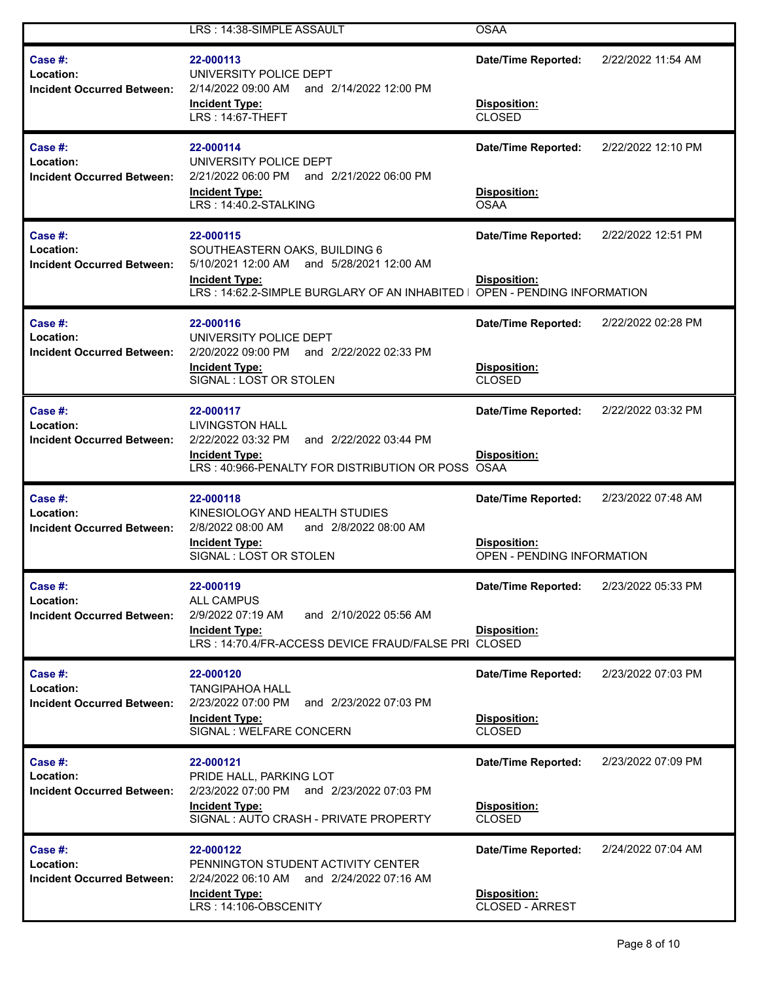|                                                           | LRS: 14:38-SIMPLE ASSAULT                                                                                                                                          | <b>OSAA</b>                                                                     |                    |
|-----------------------------------------------------------|--------------------------------------------------------------------------------------------------------------------------------------------------------------------|---------------------------------------------------------------------------------|--------------------|
| Case #:<br>Location:<br><b>Incident Occurred Between:</b> | 22-000113<br>UNIVERSITY POLICE DEPT<br>2/14/2022 09:00 AM and 2/14/2022 12:00 PM<br><b>Incident Type:</b><br>LRS: 14:67-THEFT                                      | <b>Date/Time Reported:</b><br>Disposition:<br>CLOSED                            | 2/22/2022 11:54 AM |
| Case #:<br>Location:<br><b>Incident Occurred Between:</b> | 22-000114<br>UNIVERSITY POLICE DEPT<br>2/21/2022 06:00 PM and 2/21/2022 06:00 PM<br><b>Incident Type:</b><br>LRS: 14:40.2-STALKING                                 | <b>Date/Time Reported:</b><br>Disposition:<br><b>OSAA</b>                       | 2/22/2022 12:10 PM |
| Case #:<br>Location:<br><b>Incident Occurred Between:</b> | 22-000115<br>SOUTHEASTERN OAKS, BUILDING 6<br>5/10/2021 12:00 AM and 5/28/2021 12:00 AM<br><b>Incident Type:</b><br>LRS: 14:62.2-SIMPLE BURGLARY OF AN INHABITED I | <b>Date/Time Reported:</b><br>Disposition:<br><b>OPEN - PENDING INFORMATION</b> | 2/22/2022 12:51 PM |
| Case #:<br>Location:<br><b>Incident Occurred Between:</b> | 22-000116<br>UNIVERSITY POLICE DEPT<br>2/20/2022 09:00 PM and 2/22/2022 02:33 PM<br><b>Incident Type:</b><br>SIGNAL: LOST OR STOLEN                                | <b>Date/Time Reported:</b><br>Disposition:<br><b>CLOSED</b>                     | 2/22/2022 02:28 PM |
| Case #:<br>Location:<br><b>Incident Occurred Between:</b> | 22-000117<br><b>LIVINGSTON HALL</b><br>2/22/2022 03:32 PM<br>and 2/22/2022 03:44 PM<br><b>Incident Type:</b><br>LRS: 40:966-PENALTY FOR DISTRIBUTION OR POSS OSAA  | <b>Date/Time Reported:</b><br>Disposition:                                      | 2/22/2022 03:32 PM |
| Case #:<br>Location:<br><b>Incident Occurred Between:</b> | 22-000118<br>KINESIOLOGY AND HEALTH STUDIES<br>2/8/2022 08:00 AM<br>and 2/8/2022 08:00 AM<br><b>Incident Type:</b><br>SIGNAL: LOST OR STOLEN                       | <b>Date/Time Reported:</b><br>Disposition:<br>OPEN - PENDING INFORMATION        | 2/23/2022 07:48 AM |
| Case #:<br>Location:<br><b>Incident Occurred Between:</b> | 22-000119<br><b>ALL CAMPUS</b><br>2/9/2022 07:19 AM<br>and 2/10/2022 05:56 AM<br><b>Incident Type:</b><br>LRS: 14:70.4/FR-ACCESS DEVICE FRAUD/FALSE PRI CLOSED     | <b>Date/Time Reported:</b><br>Disposition:                                      | 2/23/2022 05:33 PM |
| Case #:<br>Location:<br><b>Incident Occurred Between:</b> | 22-000120<br><b>TANGIPAHOA HALL</b><br>2/23/2022 07:00 PM<br>and 2/23/2022 07:03 PM<br><b>Incident Type:</b><br>SIGNAL : WELFARE CONCERN                           | <b>Date/Time Reported:</b><br>Disposition:<br>CLOSED                            | 2/23/2022 07:03 PM |
| Case #:<br>Location:<br><b>Incident Occurred Between:</b> | 22-000121<br>PRIDE HALL, PARKING LOT<br>2/23/2022 07:00 PM and 2/23/2022 07:03 PM<br><b>Incident Type:</b><br>SIGNAL: AUTO CRASH - PRIVATE PROPERTY                | <b>Date/Time Reported:</b><br>Disposition:<br>CLOSED                            | 2/23/2022 07:09 PM |
| Case #:<br>Location:<br><b>Incident Occurred Between:</b> | 22-000122<br>PENNINGTON STUDENT ACTIVITY CENTER<br>2/24/2022 06:10 AM and 2/24/2022 07:16 AM<br><b>Incident Type:</b><br>LRS: 14:106-OBSCENITY                     | <b>Date/Time Reported:</b><br>Disposition:<br><b>CLOSED - ARREST</b>            | 2/24/2022 07:04 AM |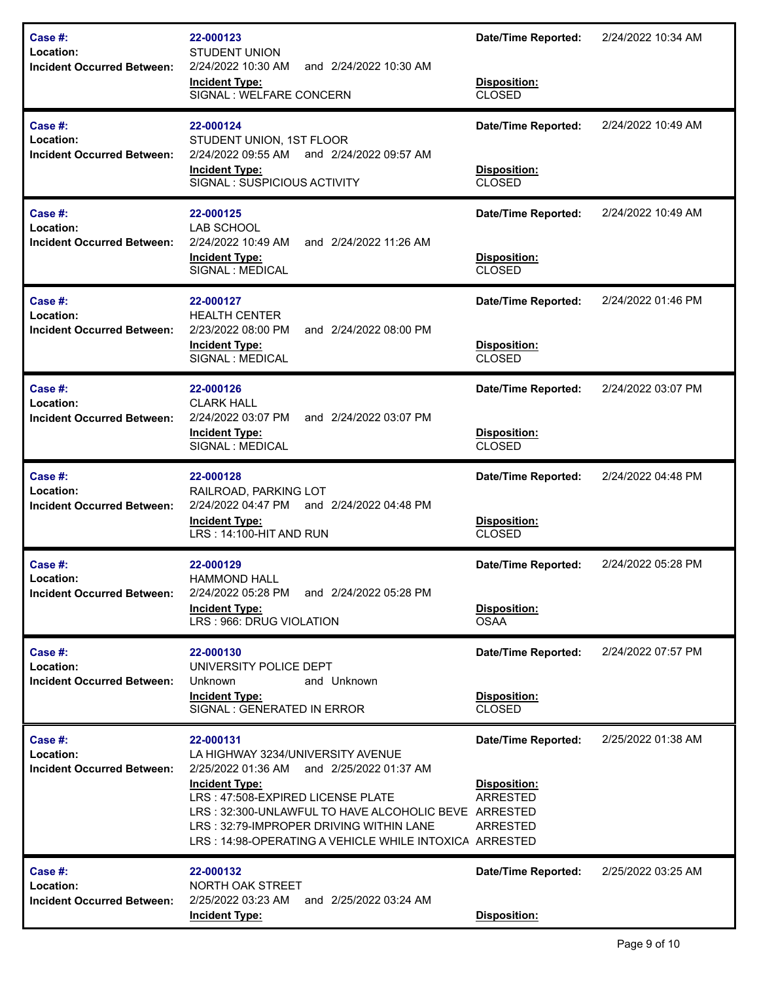| Case #:<br>Location:<br><b>Incident Occurred Between:</b> | 22-000123<br><b>STUDENT UNION</b><br>2/24/2022 10:30 AM<br>and 2/24/2022 10:30 AM<br><b>Incident Type:</b><br>SIGNAL: WELFARE CONCERN                                                                                                                                                                                     | <b>Date/Time Reported:</b><br>Disposition:<br><b>CLOSED</b>                      | 2/24/2022 10:34 AM |
|-----------------------------------------------------------|---------------------------------------------------------------------------------------------------------------------------------------------------------------------------------------------------------------------------------------------------------------------------------------------------------------------------|----------------------------------------------------------------------------------|--------------------|
| Case #:<br>Location:<br><b>Incident Occurred Between:</b> | 22-000124<br>STUDENT UNION, 1ST FLOOR<br>2/24/2022 09:55 AM<br>and 2/24/2022 09:57 AM<br><b>Incident Type:</b><br>SIGNAL: SUSPICIOUS ACTIVITY                                                                                                                                                                             | <b>Date/Time Reported:</b><br>Disposition:<br><b>CLOSED</b>                      | 2/24/2022 10:49 AM |
| Case #:<br>Location:<br><b>Incident Occurred Between:</b> | 22-000125<br><b>LAB SCHOOL</b><br>2/24/2022 10:49 AM<br>and 2/24/2022 11:26 AM<br><b>Incident Type:</b><br>SIGNAL : MEDICAL                                                                                                                                                                                               | <b>Date/Time Reported:</b><br>Disposition:<br><b>CLOSED</b>                      | 2/24/2022 10:49 AM |
| Case #:<br>Location:<br><b>Incident Occurred Between:</b> | 22-000127<br><b>HEALTH CENTER</b><br>2/23/2022 08:00 PM<br>and 2/24/2022 08:00 PM<br><b>Incident Type:</b><br>SIGNAL : MEDICAL                                                                                                                                                                                            | <b>Date/Time Reported:</b><br>Disposition:<br><b>CLOSED</b>                      | 2/24/2022 01:46 PM |
| Case #:<br>Location:<br><b>Incident Occurred Between:</b> | 22-000126<br><b>CLARK HALL</b><br>2/24/2022 03:07 PM<br>and 2/24/2022 03:07 PM<br><b>Incident Type:</b><br>SIGNAL : MEDICAL                                                                                                                                                                                               | <b>Date/Time Reported:</b><br>Disposition:<br><b>CLOSED</b>                      | 2/24/2022 03:07 PM |
| Case #:<br>Location:<br><b>Incident Occurred Between:</b> | 22-000128<br>RAILROAD, PARKING LOT<br>2/24/2022 04:47 PM<br>and 2/24/2022 04:48 PM<br><b>Incident Type:</b><br>LRS: 14:100-HIT AND RUN                                                                                                                                                                                    | <b>Date/Time Reported:</b><br>Disposition:<br><b>CLOSED</b>                      | 2/24/2022 04:48 PM |
| Case #:<br>Location:<br><b>Incident Occurred Between:</b> | 22-000129<br><b>HAMMOND HALL</b><br>2/24/2022 05:28 PM<br>and 2/24/2022 05:28 PM<br><b>Incident Type:</b><br>LRS: 966: DRUG VIOLATION                                                                                                                                                                                     | <b>Date/Time Reported:</b><br>Disposition:<br><b>OSAA</b>                        | 2/24/2022 05:28 PM |
| Case #:<br>Location:<br><b>Incident Occurred Between:</b> | 22-000130<br>UNIVERSITY POLICE DEPT<br>Unknown<br>and Unknown<br><b>Incident Type:</b><br>SIGNAL: GENERATED IN ERROR                                                                                                                                                                                                      | <b>Date/Time Reported:</b><br>Disposition:<br><b>CLOSED</b>                      | 2/24/2022 07:57 PM |
| Case #:<br>Location:<br><b>Incident Occurred Between:</b> | 22-000131<br>LA HIGHWAY 3234/UNIVERSITY AVENUE<br>2/25/2022 01:36 AM<br>and 2/25/2022 01:37 AM<br><b>Incident Type:</b><br>LRS: 47:508-EXPIRED LICENSE PLATE<br>LRS: 32:300-UNLAWFUL TO HAVE ALCOHOLIC BEVE ARRESTED<br>LRS: 32:79-IMPROPER DRIVING WITHIN LANE<br>LRS: 14:98-OPERATING A VEHICLE WHILE INTOXICA ARRESTED | <b>Date/Time Reported:</b><br>Disposition:<br><b>ARRESTED</b><br><b>ARRESTED</b> | 2/25/2022 01:38 AM |
| Case #:<br>Location:<br><b>Incident Occurred Between:</b> | 22-000132<br>NORTH OAK STREET<br>2/25/2022 03:23 AM<br>and 2/25/2022 03:24 AM<br><b>Incident Type:</b>                                                                                                                                                                                                                    | <b>Date/Time Reported:</b><br>Disposition:                                       | 2/25/2022 03:25 AM |